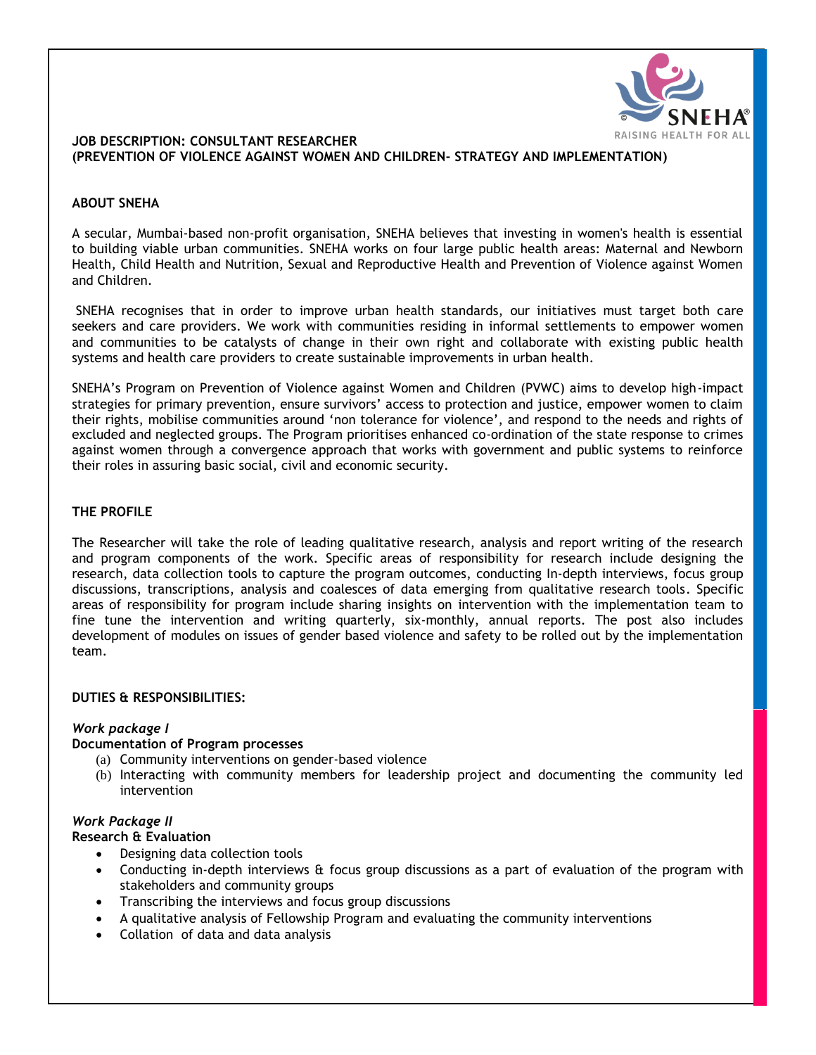

### **JOB DESCRIPTION: CONSULTANT RESEARCHER (PREVENTION OF VIOLENCE AGAINST WOMEN AND CHILDREN- STRATEGY AND IMPLEMENTATION)**

### **ABOUT SNEHA**

A secular, Mumbai-based non-profit organisation, SNEHA believes that investing in women's health is essential to building viable urban communities. SNEHA works on four large public health areas: Maternal and Newborn Health, Child Health and Nutrition, Sexual and Reproductive Health and Prevention of Violence against Women and Children.

SNEHA recognises that in order to improve urban health standards, our initiatives must target both care seekers and care providers. We work with communities residing in informal settlements to empower women and communities to be catalysts of change in their own right and collaborate with existing public health systems and health care providers to create sustainable improvements in urban health.

SNEHA's Program on Prevention of Violence against Women and Children (PVWC) aims to develop high‐impact strategies for primary prevention, ensure survivors' access to protection and justice, empower women to claim their rights, mobilise communities around 'non tolerance for violence', and respond to the needs and rights of excluded and neglected groups. The Program prioritises enhanced co-ordination of the state response to crimes against women through a convergence approach that works with government and public systems to reinforce their roles in assuring basic social, civil and economic security.

### **THE PROFILE**

The Researcher will take the role of leading qualitative research, analysis and report writing of the research and program components of the work. Specific areas of responsibility for research include designing the research, data collection tools to capture the program outcomes, conducting In-depth interviews, focus group discussions, transcriptions, analysis and coalesces of data emerging from qualitative research tools. Specific areas of responsibility for program include sharing insights on intervention with the implementation team to fine tune the intervention and writing quarterly, six-monthly, annual reports. The post also includes development of modules on issues of gender based violence and safety to be rolled out by the implementation team.

#### **DUTIES & RESPONSIBILITIES:**

## *Work package I*

#### **Documentation of Program processes**

- (a) Community interventions on gender-based violence
- (b) Interacting with community members for leadership project and documenting the community led intervention

### *Work Package II*

#### **Research & Evaluation**

- Designing data collection tools
- Conducting in-depth interviews & focus group discussions as a part of evaluation of the program with stakeholders and community groups
- Transcribing the interviews and focus group discussions
- A qualitative analysis of Fellowship Program and evaluating the community interventions
- Collation of data and data analysis